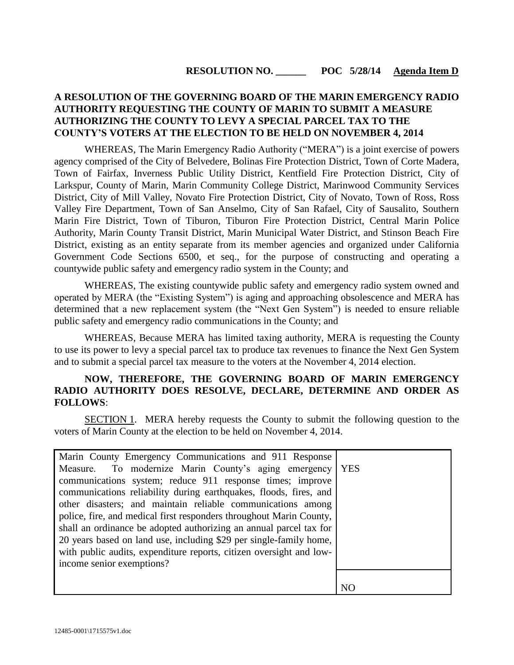# **RESOLUTION NO. \_\_\_\_\_\_ POC 5/28/14 Agenda Item D**

## **A RESOLUTION OF THE GOVERNING BOARD OF THE MARIN EMERGENCY RADIO AUTHORITY REQUESTING THE COUNTY OF MARIN TO SUBMIT A MEASURE AUTHORIZING THE COUNTY TO LEVY A SPECIAL PARCEL TAX TO THE COUNTY'S VOTERS AT THE ELECTION TO BE HELD ON NOVEMBER 4, 2014**

WHEREAS, The Marin Emergency Radio Authority ("MERA") is a joint exercise of powers agency comprised of the City of Belvedere, Bolinas Fire Protection District, Town of Corte Madera, Town of Fairfax, Inverness Public Utility District, Kentfield Fire Protection District, City of Larkspur, County of Marin, Marin Community College District, Marinwood Community Services District, City of Mill Valley, Novato Fire Protection District, City of Novato, Town of Ross, Ross Valley Fire Department, Town of San Anselmo, City of San Rafael, City of Sausalito, Southern Marin Fire District, Town of Tiburon, Tiburon Fire Protection District, Central Marin Police Authority, Marin County Transit District, Marin Municipal Water District, and Stinson Beach Fire District, existing as an entity separate from its member agencies and organized under California Government Code Sections 6500, et seq., for the purpose of constructing and operating a countywide public safety and emergency radio system in the County; and

WHEREAS, The existing countywide public safety and emergency radio system owned and operated by MERA (the "Existing System") is aging and approaching obsolescence and MERA has determined that a new replacement system (the "Next Gen System") is needed to ensure reliable public safety and emergency radio communications in the County; and

WHEREAS, Because MERA has limited taxing authority, MERA is requesting the County to use its power to levy a special parcel tax to produce tax revenues to finance the Next Gen System and to submit a special parcel tax measure to the voters at the November 4, 2014 election.

## **NOW, THEREFORE, THE GOVERNING BOARD OF MARIN EMERGENCY RADIO AUTHORITY DOES RESOLVE, DECLARE, DETERMINE AND ORDER AS FOLLOWS**:

SECTION 1. MERA hereby requests the County to submit the following question to the voters of Marin County at the election to be held on November 4, 2014.

| Marin County Emergency Communications and 911 Response              |                |
|---------------------------------------------------------------------|----------------|
| Measure. To modernize Marin County's aging emergency   YES          |                |
| communications system; reduce 911 response times; improve           |                |
| communications reliability during earthquakes, floods, fires, and   |                |
| other disasters; and maintain reliable communications among         |                |
| police, fire, and medical first responders throughout Marin County, |                |
| shall an ordinance be adopted authorizing an annual parcel tax for  |                |
| 20 years based on land use, including \$29 per single-family home,  |                |
| with public audits, expenditure reports, citizen oversight and low- |                |
| income senior exemptions?                                           |                |
|                                                                     |                |
|                                                                     | N <sub>C</sub> |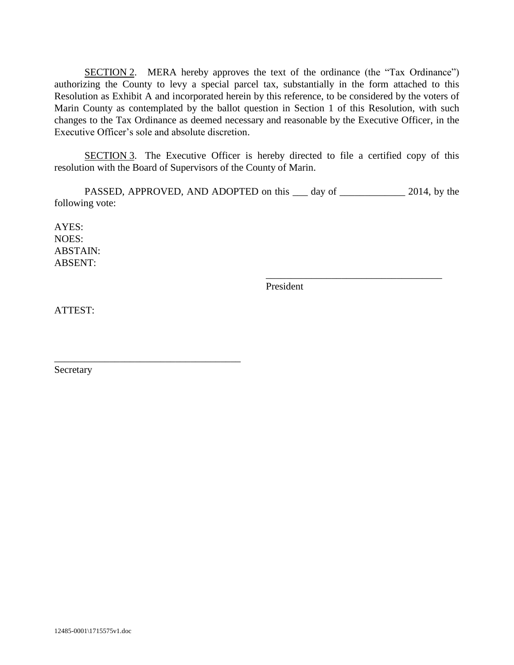SECTION 2. MERA hereby approves the text of the ordinance (the "Tax Ordinance") authorizing the County to levy a special parcel tax, substantially in the form attached to this Resolution as Exhibit A and incorporated herein by this reference, to be considered by the voters of Marin County as contemplated by the ballot question in Section 1 of this Resolution, with such changes to the Tax Ordinance as deemed necessary and reasonable by the Executive Officer, in the Executive Officer's sole and absolute discretion.

SECTION 3. The Executive Officer is hereby directed to file a certified copy of this resolution with the Board of Supervisors of the County of Marin.

PASSED, APPROVED, AND ADOPTED on this <u>equal that day</u> of <u>equal that all</u> 2014, by the following vote:

AYES: NOES: ABSTAIN: ABSENT:

President

\_\_\_\_\_\_\_\_\_\_\_\_\_\_\_\_\_\_\_\_\_\_\_\_\_\_\_\_\_\_\_\_\_\_\_

ATTEST:

Secretary

\_\_\_\_\_\_\_\_\_\_\_\_\_\_\_\_\_\_\_\_\_\_\_\_\_\_\_\_\_\_\_\_\_\_\_\_\_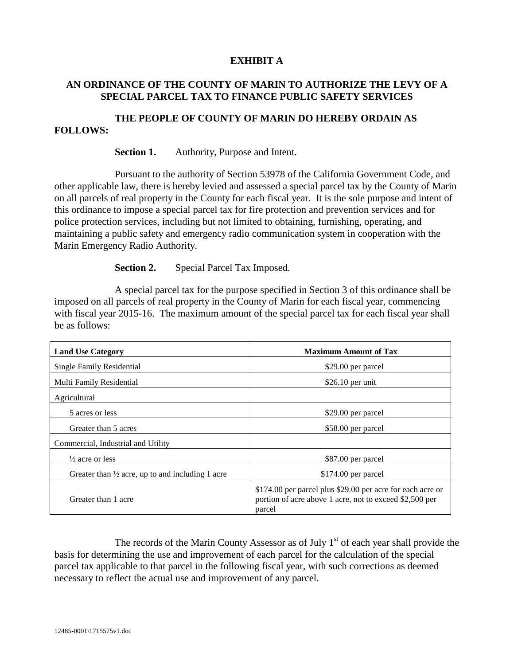#### **EXHIBIT A**

#### **AN ORDINANCE OF THE COUNTY OF MARIN TO AUTHORIZE THE LEVY OF A SPECIAL PARCEL TAX TO FINANCE PUBLIC SAFETY SERVICES**

#### **THE PEOPLE OF COUNTY OF MARIN DO HEREBY ORDAIN AS FOLLOWS:**

#### **Section 1.** Authority, Purpose and Intent.

Pursuant to the authority of Section 53978 of the California Government Code, and other applicable law, there is hereby levied and assessed a special parcel tax by the County of Marin on all parcels of real property in the County for each fiscal year. It is the sole purpose and intent of this ordinance to impose a special parcel tax for fire protection and prevention services and for police protection services, including but not limited to obtaining, furnishing, operating, and maintaining a public safety and emergency radio communication system in cooperation with the Marin Emergency Radio Authority.

**Section 2.** Special Parcel Tax Imposed.

A special parcel tax for the purpose specified in Section 3 of this ordinance shall be imposed on all parcels of real property in the County of Marin for each fiscal year, commencing with fiscal year 2015-16. The maximum amount of the special parcel tax for each fiscal year shall be as follows:

| <b>Land Use Category</b>                                    | <b>Maximum Amount of Tax</b>                                                                                                    |
|-------------------------------------------------------------|---------------------------------------------------------------------------------------------------------------------------------|
| Single Family Residential                                   | \$29.00 per parcel                                                                                                              |
| Multi Family Residential                                    | $$26.10$ per unit                                                                                                               |
| Agricultural                                                |                                                                                                                                 |
| 5 acres or less                                             | \$29.00 per parcel                                                                                                              |
| Greater than 5 acres                                        | \$58.00 per parcel                                                                                                              |
| Commercial, Industrial and Utility                          |                                                                                                                                 |
| $\frac{1}{2}$ acre or less                                  | \$87.00 per parcel                                                                                                              |
| Greater than $\frac{1}{2}$ acre, up to and including 1 acre | $$174.00$ per parcel                                                                                                            |
| Greater than 1 acre                                         | \$174.00 per parcel plus \$29.00 per acre for each acre or<br>portion of acre above 1 acre, not to exceed \$2,500 per<br>parcel |

The records of the Marin County Assessor as of July  $1<sup>st</sup>$  of each year shall provide the basis for determining the use and improvement of each parcel for the calculation of the special parcel tax applicable to that parcel in the following fiscal year, with such corrections as deemed necessary to reflect the actual use and improvement of any parcel.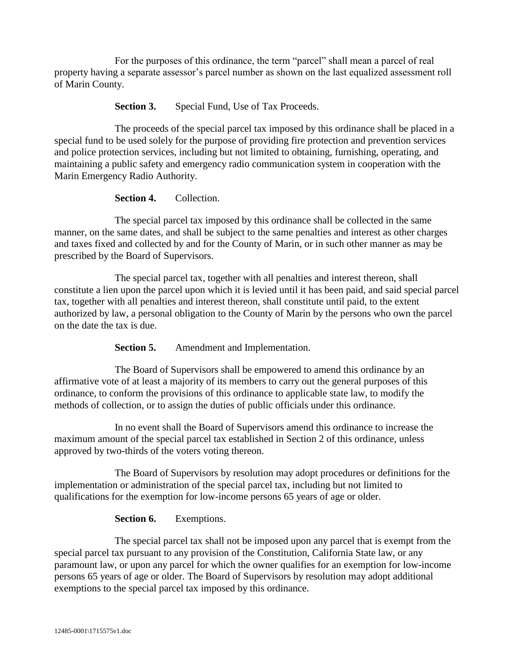For the purposes of this ordinance, the term "parcel" shall mean a parcel of real property having a separate assessor's parcel number as shown on the last equalized assessment roll of Marin County.

**Section 3.** Special Fund, Use of Tax Proceeds.

The proceeds of the special parcel tax imposed by this ordinance shall be placed in a special fund to be used solely for the purpose of providing fire protection and prevention services and police protection services, including but not limited to obtaining, furnishing, operating, and maintaining a public safety and emergency radio communication system in cooperation with the Marin Emergency Radio Authority.

**Section 4.** Collection.

The special parcel tax imposed by this ordinance shall be collected in the same manner, on the same dates, and shall be subject to the same penalties and interest as other charges and taxes fixed and collected by and for the County of Marin, or in such other manner as may be prescribed by the Board of Supervisors.

The special parcel tax, together with all penalties and interest thereon, shall constitute a lien upon the parcel upon which it is levied until it has been paid, and said special parcel tax, together with all penalties and interest thereon, shall constitute until paid, to the extent authorized by law, a personal obligation to the County of Marin by the persons who own the parcel on the date the tax is due.

**Section 5.** Amendment and Implementation.

The Board of Supervisors shall be empowered to amend this ordinance by an affirmative vote of at least a majority of its members to carry out the general purposes of this ordinance, to conform the provisions of this ordinance to applicable state law, to modify the methods of collection, or to assign the duties of public officials under this ordinance.

In no event shall the Board of Supervisors amend this ordinance to increase the maximum amount of the special parcel tax established in Section 2 of this ordinance, unless approved by two-thirds of the voters voting thereon.

The Board of Supervisors by resolution may adopt procedures or definitions for the implementation or administration of the special parcel tax, including but not limited to qualifications for the exemption for low-income persons 65 years of age or older.

# **Section 6.** Exemptions.

The special parcel tax shall not be imposed upon any parcel that is exempt from the special parcel tax pursuant to any provision of the Constitution, California State law, or any paramount law, or upon any parcel for which the owner qualifies for an exemption for low-income persons 65 years of age or older. The Board of Supervisors by resolution may adopt additional exemptions to the special parcel tax imposed by this ordinance.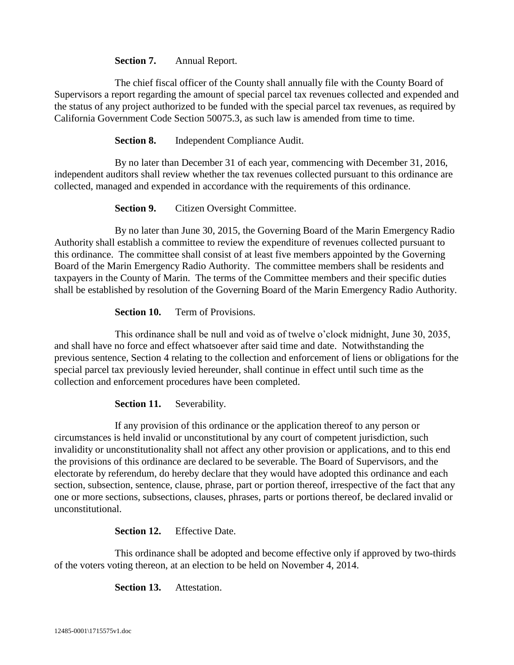## **Section 7.** Annual Report.

The chief fiscal officer of the County shall annually file with the County Board of Supervisors a report regarding the amount of special parcel tax revenues collected and expended and the status of any project authorized to be funded with the special parcel tax revenues, as required by California Government Code Section 50075.3, as such law is amended from time to time.

**Section 8.** Independent Compliance Audit.

By no later than December 31 of each year, commencing with December 31, 2016, independent auditors shall review whether the tax revenues collected pursuant to this ordinance are collected, managed and expended in accordance with the requirements of this ordinance.

**Section 9.** Citizen Oversight Committee.

By no later than June 30, 2015, the Governing Board of the Marin Emergency Radio Authority shall establish a committee to review the expenditure of revenues collected pursuant to this ordinance. The committee shall consist of at least five members appointed by the Governing Board of the Marin Emergency Radio Authority. The committee members shall be residents and taxpayers in the County of Marin. The terms of the Committee members and their specific duties shall be established by resolution of the Governing Board of the Marin Emergency Radio Authority.

**Section 10.** Term of Provisions.

This ordinance shall be null and void as of twelve o'clock midnight, June 30, 2035, and shall have no force and effect whatsoever after said time and date. Notwithstanding the previous sentence, Section 4 relating to the collection and enforcement of liens or obligations for the special parcel tax previously levied hereunder, shall continue in effect until such time as the collection and enforcement procedures have been completed.

## **Section 11.** Severability.

If any provision of this ordinance or the application thereof to any person or circumstances is held invalid or unconstitutional by any court of competent jurisdiction, such invalidity or unconstitutionality shall not affect any other provision or applications, and to this end the provisions of this ordinance are declared to be severable. The Board of Supervisors, and the electorate by referendum, do hereby declare that they would have adopted this ordinance and each section, subsection, sentence, clause, phrase, part or portion thereof, irrespective of the fact that any one or more sections, subsections, clauses, phrases, parts or portions thereof, be declared invalid or unconstitutional.

**Section 12.** Effective Date.

This ordinance shall be adopted and become effective only if approved by two-thirds of the voters voting thereon, at an election to be held on November 4, 2014.

**Section 13.** Attestation.